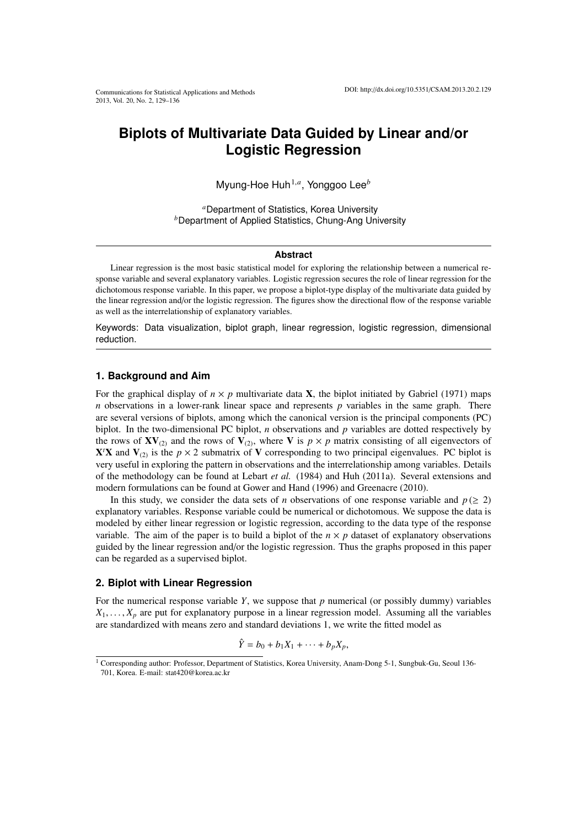# **Biplots of Multivariate Data Guided by Linear and/or Logistic Regression**

Myung-Hoe Huh1,*<sup>a</sup>* , Yonggoo Lee*<sup>b</sup>*

*<sup>a</sup>*Department of Statistics, Korea University *<sup>b</sup>*Department of Applied Statistics, Chung-Ang University

## **Abstract**

Linear regression is the most basic statistical model for exploring the relationship between a numerical response variable and several explanatory variables. Logistic regression secures the role of linear regression for the dichotomous response variable. In this paper, we propose a biplot-type display of the multivariate data guided by the linear regression and/or the logistic regression. The figures show the directional flow of the response variable as well as the interrelationship of explanatory variables.

Keywords: Data visualization, biplot graph, linear regression, logistic regression, dimensional reduction.

## **1. Background and Aim**

For the graphical display of  $n \times p$  multivariate data **X**, the biplot initiated by Gabriel (1971) maps *n* observations in a lower-rank linear space and represents *p* variables in the same graph. There are several versions of biplots, among which the canonical version is the principal components (PC) biplot. In the two-dimensional PC biplot, *n* observations and *p* variables are dotted respectively by the rows of  $\mathbf{X} \mathbf{V}_{(2)}$  and the rows of  $\mathbf{V}_{(2)}$ , where V is  $p \times p$  matrix consisting of all eigenvectors of  $X'X$  and  $V_{(2)}$  is the  $p \times 2$  submatrix of V corresponding to two principal eigenvalues. PC biplot is very useful in exploring the pattern in observations and the interrelationship among variables. Details of the methodology can be found at Lebart *et al.* (1984) and Huh (2011a). Several extensions and modern formulations can be found at Gower and Hand (1996) and Greenacre (2010).

In this study, we consider the data sets of *n* observations of one response variable and  $p \ (\geq 2)$ explanatory variables. Response variable could be numerical or dichotomous. We suppose the data is modeled by either linear regression or logistic regression, according to the data type of the response variable. The aim of the paper is to build a biplot of the  $n \times p$  dataset of explanatory observations guided by the linear regression and/or the logistic regression. Thus the graphs proposed in this paper can be regarded as a supervised biplot.

#### **2. Biplot with Linear Regression**

For the numerical response variable *Y*, we suppose that *p* numerical (or possibly dummy) variables  $X_1, \ldots, X_n$  are put for explanatory purpose in a linear regression model. Assuming all the variables are standardized with means zero and standard deviations 1, we write the fitted model as

$$
\hat{Y} = b_0 + b_1 X_1 + \cdots + b_p X_p,
$$

<sup>1</sup> Corresponding author: Professor, Department of Statistics, Korea University, Anam-Dong 5-1, Sungbuk-Gu, Seoul 136- 701, Korea. E-mail: stat420@korea.ac.kr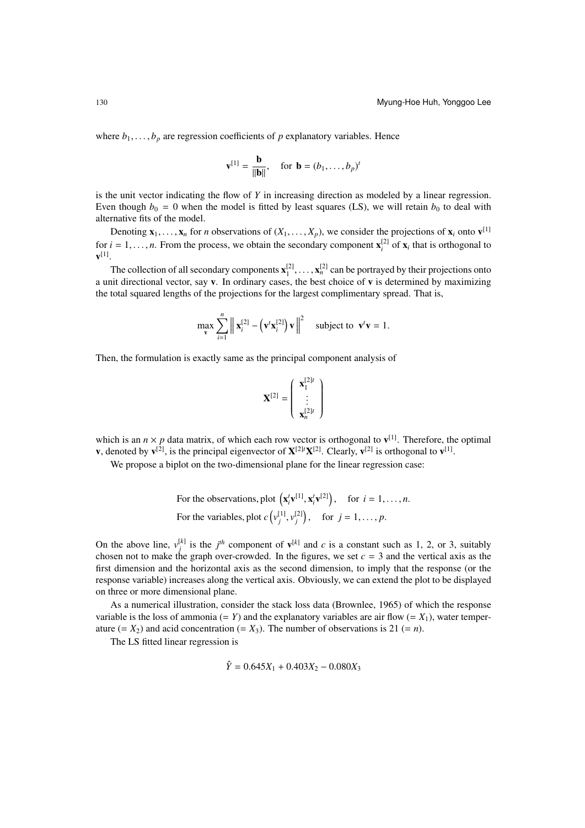where  $b_1, \ldots, b_p$  are regression coefficients of *p* explanatory variables. Hence

$$
\mathbf{v}^{[1]} = \frac{\mathbf{b}}{\|\mathbf{b}\|}, \quad \text{for } \mathbf{b} = (b_1, \dots, b_p)^t
$$

is the unit vector indicating the flow of *Y* in increasing direction as modeled by a linear regression. Even though  $b_0 = 0$  when the model is fitted by least squares (LS), we will retain  $b_0$  to deal with alternative fits of the model.

Denoting  $\mathbf{x}_1, \ldots, \mathbf{x}_n$  for *n* observations of  $(X_1, \ldots, X_p)$ , we consider the projections of  $\mathbf{x}_i$  onto  $\mathbf{v}^{[1]}$ for  $i = 1, \ldots, n$ . From the process, we obtain the secondary component  $\mathbf{x}_i^{[2]}$  of  $\mathbf{x}_i$  that is orthogonal to  $\mathbf{v}^{[1]}$ .

The collection of all secondary components  $x_1^{[2]}, \ldots, x_n^{[2]}$  can be portrayed by their projections onto a unit directional vector, say  $v$ . In ordinary cases, the best choice of  $v$  is determined by maximizing the total squared lengths of the projections for the largest complimentary spread. That is,

$$
\max_{\mathbf{v}} \sum_{i=1}^{n} \left\| \mathbf{x}_{i}^{[2]} - \left( \mathbf{v}^{t} \mathbf{x}_{i}^{[2]} \right) \mathbf{v} \right\|^{2} \text{ subject to } \mathbf{v}^{t} \mathbf{v} = 1.
$$

Then, the formulation is exactly same as the principal component analysis of

$$
\mathbf{X}^{[2]} = \left(\begin{array}{c} \mathbf{x}_1^{[2]t} \\ \vdots \\ \mathbf{x}_n^{[2]t} \end{array}\right)
$$

which is an  $n \times p$  data matrix, of which each row vector is orthogonal to  $v^{[1]}$ . Therefore, the optimal **v**, denoted by  $\mathbf{v}^{[2]}$ , is the principal eigenvector of  $\mathbf{X}^{[2]t}\mathbf{X}^{[2]}$ . Clearly,  $\mathbf{v}^{[2]}$  is orthogonal to  $\mathbf{v}^{[1]}$ .

We propose a biplot on the two-dimensional plane for the linear regression case:

For the observations, plot 
$$
(\mathbf{x}_i^t \mathbf{v}^{[1]}, \mathbf{x}_i^t \mathbf{v}^{[2]})
$$
, for  $i = 1, ..., n$ .  
For the variables, plot  $c(v_j^{[1]}, v_j^{[2]})$ , for  $j = 1, ..., p$ .

On the above line,  $v_j^{[k]}$  is the *j*<sup>th</sup> component of  $v^{[k]}$  and *c* is a constant such as 1, 2, or 3, suitably chosen not to make the graph over-crowded. In the figures, we set  $c = 3$  and the vertical axis as the first dimension and the horizontal axis as the second dimension, to imply that the response (or the response variable) increases along the vertical axis. Obviously, we can extend the plot to be displayed on three or more dimensional plane.

As a numerical illustration, consider the stack loss data (Brownlee, 1965) of which the response variable is the loss of ammonia  $(= Y)$  and the explanatory variables are air flow  $(= X_1)$ , water temperature  $(= X_2)$  and acid concentration  $(= X_3)$ . The number of observations is 21  $(= n)$ .

The LS fitted linear regression is

$$
\hat{Y} = 0.645X_1 + 0.403X_2 - 0.080X_3
$$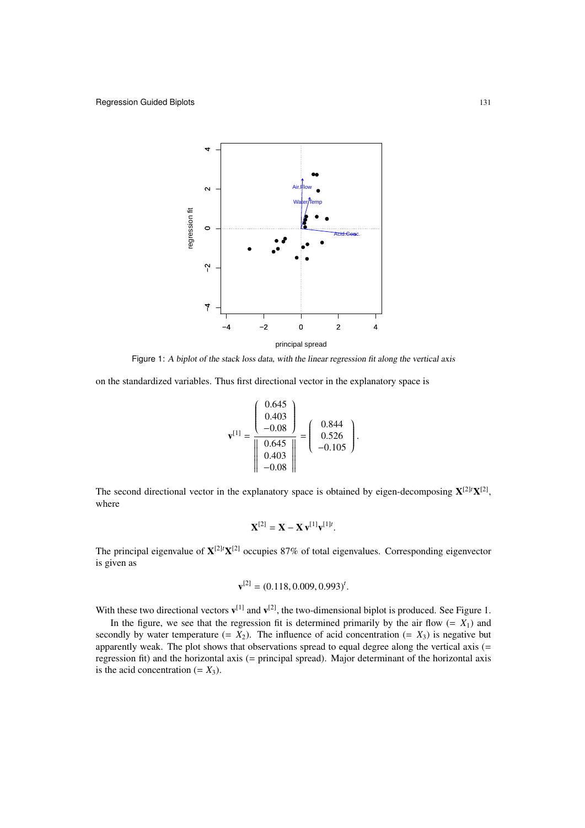

Figure 1: <sup>A</sup> biplot of the stack loss data, with the linear regression fit along the vertical axis

on the standardized variables. Thus first directional vector in the explanatory space is

$$
\mathbf{v}^{[1]} = \frac{\begin{pmatrix} 0.645 \\ 0.403 \\ -0.08 \end{pmatrix}}{\begin{pmatrix} 0.645 \\ 0.645 \\ 0.403 \\ -0.08 \end{pmatrix}} = \begin{pmatrix} 0.844 \\ 0.526 \\ -0.105 \end{pmatrix}.
$$

The second directional vector in the explanatory space is obtained by eigen-decomposing  $X^{[2]t}X^{[2]}$ , where

$$
\mathbf{X}^{[2]} = \mathbf{X} - \mathbf{X} \mathbf{v}^{[1]} \mathbf{v}^{[1]t}.
$$

The principal eigenvalue of  $X^{[2]t}X^{[2]}$  occupies 87% of total eigenvalues. Corresponding eigenvector is given as

$$
\mathbf{v}^{[2]} = (0.118, 0.009, 0.993)^t.
$$

With these two directional vectors  $\mathbf{v}^{[1]}$  and  $\mathbf{v}^{[2]}$ , the two-dimensional biplot is produced. See Figure 1.

In the figure, we see that the regression fit is determined primarily by the air flow  $(= X_1)$  and secondly by water temperature  $(= X_2)$ . The influence of acid concentration  $(= X_3)$  is negative but apparently weak. The plot shows that observations spread to equal degree along the vertical axis (= regression fit) and the horizontal axis (= principal spread). Major determinant of the horizontal axis is the acid concentration  $(= X_3)$ .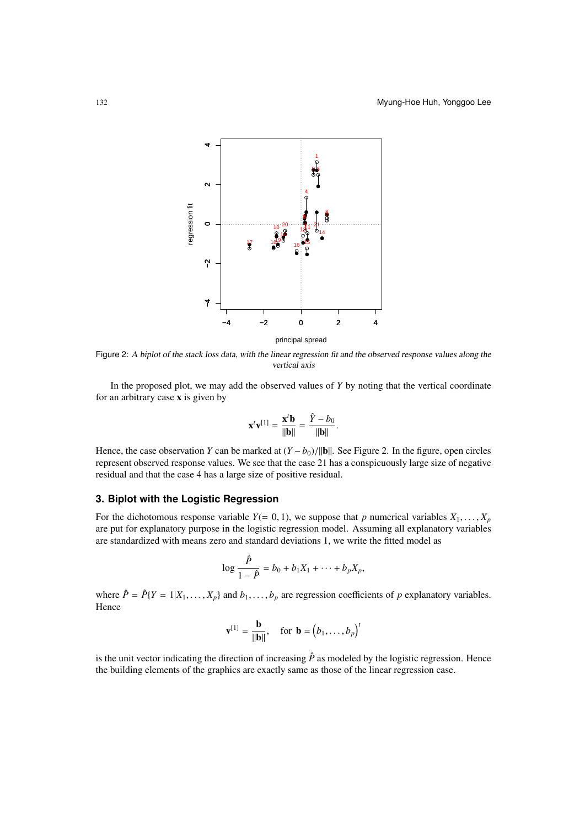

Figure 2: <sup>A</sup> biplot of the stack loss data, with the linear regression fit and the observed response values along the vertical axis

In the proposed plot, we may add the observed values of *Y* by noting that the vertical coordinate for an arbitrary case x is given by

$$
\mathbf{x}^t \mathbf{v}^{[1]} = \frac{\mathbf{x}^t \mathbf{b}}{\|\mathbf{b}\|} = \frac{\hat{Y} - b_0}{\|\mathbf{b}\|}.
$$

Hence, the case observation *Y* can be marked at  $(Y - b_0)/||\mathbf{b}||$ . See Figure 2. In the figure, open circles represent observed response values. We see that the case 21 has a conspicuously large size of negative residual and that the case 4 has a large size of positive residual.

# **3. Biplot with the Logistic Regression**

For the dichotomous response variable  $Y(= 0, 1)$ , we suppose that *p* numerical variables  $X_1, \ldots, X_p$ are put for explanatory purpose in the logistic regression model. Assuming all explanatory variables are standardized with means zero and standard deviations 1, we write the fitted model as

$$
\log \frac{\hat{P}}{1-\hat{P}}=b_0+b_1X_1+\cdots+b_pX_p,
$$

where  $\hat{P} = \hat{P}$ {*Y* = 1|*X*<sub>1</sub>, . . . , *X<sub>p</sub>*} and *b*<sub>1</sub>, . . . , *b<sub>p</sub>* are regression coefficients of *p* explanatory variables. Hence

$$
\mathbf{v}^{[1]} = \frac{\mathbf{b}}{\|\mathbf{b}\|}, \quad \text{for } \mathbf{b} = (b_1, \dots, b_p)^t
$$

is the unit vector indicating the direction of increasing  $\hat{P}$  as modeled by the logistic regression. Hence the building elements of the graphics are exactly same as those of the linear regression case.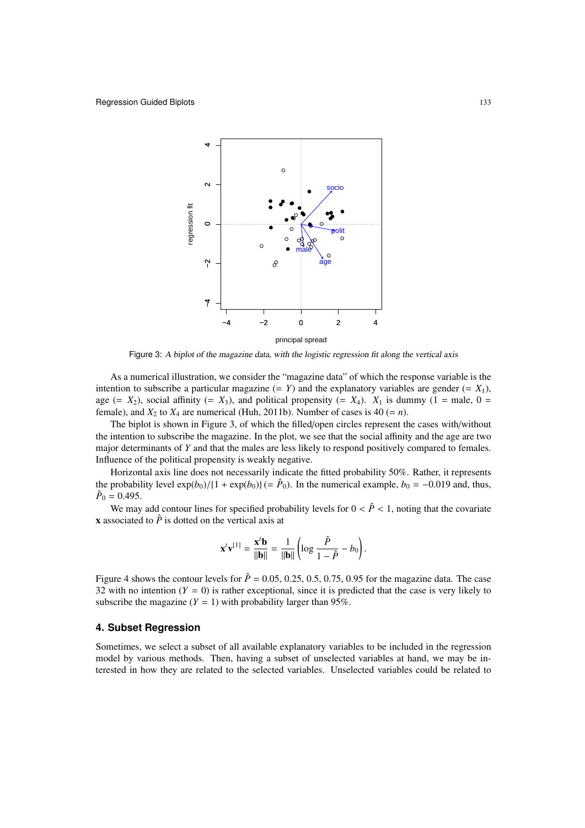

Figure 3: <sup>A</sup> biplot of the magazine data, with the logistic regression fit along the vertical axis

As a numerical illustration, we consider the "magazine data" of which the response variable is the intention to subscribe a particular magazine  $(= Y)$  and the explanatory variables are gender  $(= X_1)$ , age (=  $X_2$ ), social affinity (=  $X_3$ ), and political propensity (=  $X_4$ ).  $X_1$  is dummy (1 = male, 0 = female), and  $X_2$  to  $X_4$  are numerical (Huh, 2011b). Number of cases is 40 (= *n*).

The biplot is shown in Figure 3, of which the filled/open circles represent the cases with/without the intention to subscribe the magazine. In the plot, we see that the social affinity and the age are two major determinants of *Y* and that the males are less likely to respond positively compared to females. Influence of the political propensity is weakly negative.

Horizontal axis line does not necessarily indicate the fitted probability 50%. Rather, it represents the probability level  $\exp(b_0)/\{1 + \exp(b_0)\}$  (=  $\hat{P}_0$ ). In the numerical example,  $b_0 = -0.019$  and, thus,  $\hat{P}_0 = 0.495.$ 

We may add contour lines for specified probability levels for  $0 < \hat{P} < 1$ , noting that the covariate x associated to  $\hat{P}$  is dotted on the vertical axis at

$$
\mathbf{x}^t \mathbf{v}^{[1]} = \frac{\mathbf{x}^t \mathbf{b}}{||\mathbf{b}||} = \frac{1}{||\mathbf{b}||} \left( \log \frac{\hat{P}}{1 - \hat{P}} - b_0 \right).
$$

Figure 4 shows the contour levels for  $\hat{P} = 0.05, 0.25, 0.5, 0.75, 0.95$  for the magazine data. The case 32 with no intention  $(Y = 0)$  is rather exceptional, since it is predicted that the case is very likely to subscribe the magazine  $(Y = 1)$  with probability larger than 95%.

# **4. Subset Regression**

Sometimes, we select a subset of all available explanatory variables to be included in the regression model by various methods. Then, having a subset of unselected variables at hand, we may be interested in how they are related to the selected variables. Unselected variables could be related to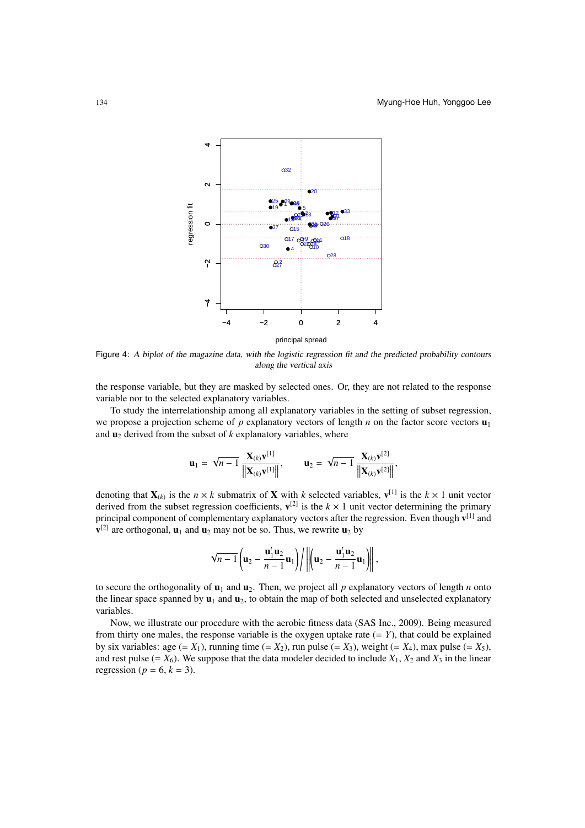

Figure 4: <sup>A</sup> biplot of the magazine data, with the logistic regression fit and the predicted probability contours along the vertical axis

the response variable, but they are masked by selected ones. Or, they are not related to the response variable nor to the selected explanatory variables.

To study the interrelationship among all explanatory variables in the setting of subset regression, we propose a projection scheme of *p* explanatory vectors of length *n* on the factor score vectors  $\mathbf{u}_1$ and  $\mathbf{u}_2$  derived from the subset of  $k$  explanatory variables, where

$$
\mathbf{u}_1 = \sqrt{n-1} \frac{\mathbf{X}_{(k)} \mathbf{v}^{[1]}}{\|\mathbf{X}_{(k)} \mathbf{v}^{[1]}\|}, \qquad \mathbf{u}_2 = \sqrt{n-1} \frac{\mathbf{X}_{(k)} \mathbf{v}^{[2]}}{\|\mathbf{X}_{(k)} \mathbf{v}^{[2]}\|},
$$

denoting that  $X_{(k)}$  is the  $n \times k$  submatrix of X with *k* selected variables,  $v^{[1]}$  is the  $k \times 1$  unit vector derived from the subset regression coefficients,  $v^{[2]}$  is the  $k \times 1$  unit vector determining the primary principal component of complementary explanatory vectors after the regression. Even though  $v^{[1]}$  and  ${\bf v}^{[2]}$  are orthogonal,  ${\bf u}_1$  and  ${\bf u}_2$  may not be so. Thus, we rewrite  ${\bf u}_2$  by

$$
\sqrt{n-1}\left(\mathbf{u}_2-\frac{\mathbf{u}_1^t\mathbf{u}_2}{n-1}\mathbf{u}_1\right)\bigg/\bigg\|\bigg(\mathbf{u}_2-\frac{\mathbf{u}_1^t\mathbf{u}_2}{n-1}\mathbf{u}_1\bigg)\bigg\|,
$$

to secure the orthogonality of  $\mathbf{u}_1$  and  $\mathbf{u}_2$ . Then, we project all p explanatory vectors of length *n* onto the linear space spanned by  $\mathbf{u}_1$  and  $\mathbf{u}_2$ , to obtain the map of both selected and unselected explanatory variables.

Now, we illustrate our procedure with the aerobic fitness data (SAS Inc., 2009). Being measured from thirty one males, the response variable is the oxygen uptake rate  $(= Y)$ , that could be explained by six variables: age  $(= X_1)$ , running time  $(= X_2)$ , run pulse  $(= X_3)$ , weight  $(= X_4)$ , max pulse  $(= X_5)$ , and rest pulse (=  $X_6$ ). We suppose that the data modeler decided to include  $X_1$ ,  $X_2$  and  $X_3$  in the linear regression ( $p = 6$ ,  $k = 3$ ).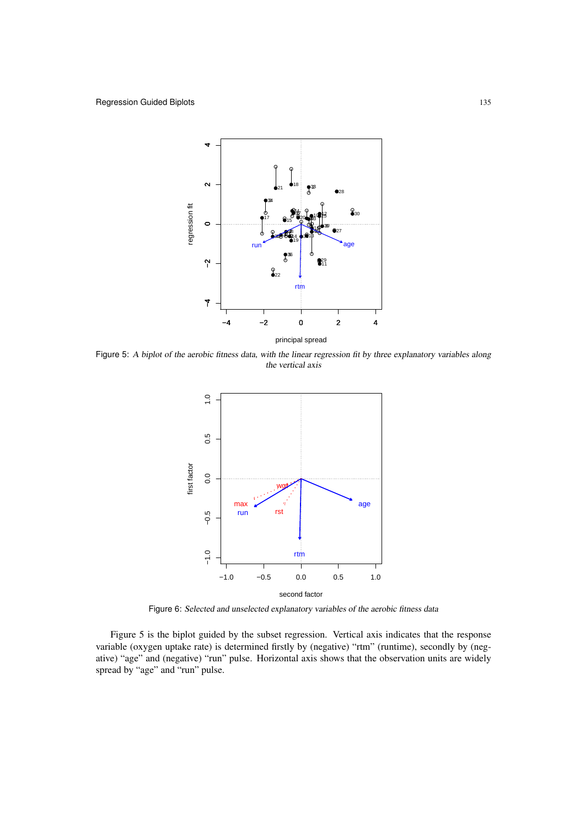

Figure 5: <sup>A</sup> biplot of the aerobic fitness data, with the linear regression fit by three explanatory variables along the vertical axis



Figure 6: Selected and unselected explanatory variables of the aerobic fitness data

Figure 5 is the biplot guided by the subset regression. Vertical axis indicates that the response variable (oxygen uptake rate) is determined firstly by (negative) "rtm" (runtime), secondly by (negative) "age" and (negative) "run" pulse. Horizontal axis shows that the observation units are widely spread by "age" and "run" pulse.